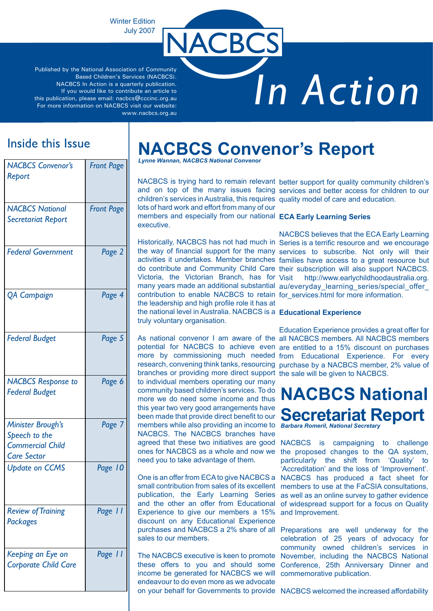Winter Edition July 2007

Published by the National Association of Community Based Children's Services (NACBCS). NACBCS In Action is a quarterly publication. If you would like to contribute an article to this publication, please email: nacbcs@cccinc.org.au For more information on NACBCS visit our website: www.nacbcs.org.au

# *In Action*

## Inside this Issue

| <b>NACBCS Convenor's</b><br>Report                                                  | <b>Front Page</b> |
|-------------------------------------------------------------------------------------|-------------------|
| <b>NACBCS National</b><br><b>Secretariat Report</b>                                 | <b>Front Page</b> |
| <b>Federal Government</b>                                                           | Page 2            |
| <b>QA Campaign</b>                                                                  | Page 4            |
| <b>Federal Budget</b>                                                               | Page 5            |
| <b>NACBCS</b> Response to<br><b>Federal Budget</b>                                  | Page 6            |
| Minister Brough's<br>Speech to the<br><b>Commercial Child</b><br><b>Care Sector</b> | Page 7            |
| <b>Update on CCMS</b>                                                               | Page 10           |
| <b>Review of Training</b><br><b>Packages</b>                                        | Page 11           |
| Keeping an Eye on<br><b>Corporate Child Care</b>                                    | Page 11           |

## **NACBCS Convenor's Report**

*Lynne Wannan, NACBCS National Convenor*

**ACBC** 

children's services in Australia, this requires quality model of care and education. lots of hard work and effort from many of our

members and especially from our national **ECA Early Learning Series** executive.

contribution to enable NACBCS to retain for\_services.html for more information. the leadership and high profile role it has at the national level in Australia. NACBCS is a **Educational Experience** truly voluntary organisation.

NACBCS is trying hard to remain relevant better support for quality community children's and on top of the many issues facing services and better access for children to our

Historically, NACBCS has not had much in Series is a terrific resource and we encourage the way of financial support for the many services to subscribe. Not only will their activities it undertakes. Member branches families have access to a great resource but do contribute and Community Child Care their subscription will also support NACBCS. Victoria, the Victorian Branch, has for Visit http://www.earlychildhoodaustralia.org. many years made an additional substantial au/everyday\_learning\_series/special\_offer\_ NACBCS believes that the ECA Early Learning

branches or providing more direct support the sale will be given to NACBCS. to individual members operating our many community based children's services. To do more we do need some income and thus this year two very good arrangements have been made that provide direct benefit to our members while also providing an income to *Barbara Romeril, National Secretary* NACBCS. The NACBCS branches have agreed that these two initiatives are good ones for NACBCS as a whole and now we need you to take advantage of them.

small contribution from sales of its excellent publication, the Early Learning Series and the other an offer from Educational Experience to give our members a 15% discount on any Educational Experience sales to our members.

income be generated for NACBCS we will commemorative publication. endeavour to do even more as we advocate

As national convenor I am aware of the all NACBCS members. All NACBCS members potential for NACBCS to achieve even are entitled to a 15% discount on purchases more by commissioning much needed from Educational Experience. For every research, convening think tanks, resourcing purchase by a NACBCS member, 2% value of Education Experience provides a great offer for

## **NACBCS National Secretariat Report**

One is an offer from ECA to give NACBCS a NACBCS has produced a fact sheet for NACBCS is campaigning to challenge the proposed changes to the QA system, particularly the shift from 'Quality' to 'Accreditation' and the loss of 'Improvement'. members to use at the FaCSIA consultations, as well as an online survey to gather evidence of widespread support for a focus on Quality and Improvement.

purchases and NACBCS a 2% share of all Preparations are well underway for the The NACBCS executive is keen to promote November, including the NACBCS National these offers to you and should some Conference, 25th Anniversary Dinner and celebration of 25 years of advocacy for community owned children's services in

on your behalf for Governments to provide NACBCS welcomed the increased affordability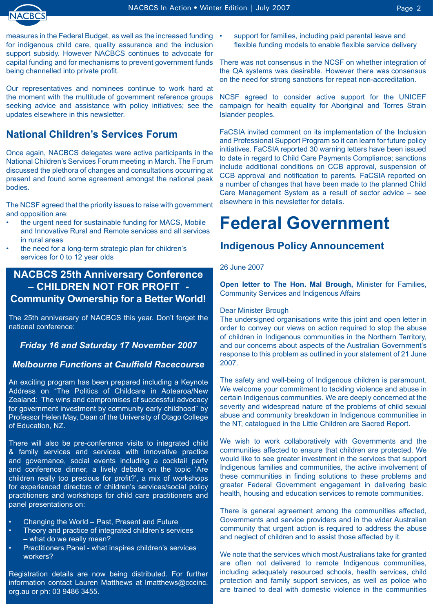

measures in the Federal Budget, as well as the increased funding • for indigenous child care, quality assurance and the inclusion support subsidy. However NACBCS continues to advocate for capital funding and for mechanisms to prevent government funds being channelled into private profit.

Our representatives and nominees continue to work hard at the moment with the multitude of government reference groups seeking advice and assistance with policy initiatives; see the updates elsewhere in this newsletter.

## **National Children's Services Forum**

Once again, NACBCS delegates were active participants in the National Children's Services Forum meeting in March. The Forum discussed the plethora of changes and consultations occurring at present and found some agreement amongst the national peak bodies.

The NCSF agreed that the priority issues to raise with government and opposition are:

- the urgent need for sustainable funding for MACS, Mobile and Innovative Rural and Remote services and all services in rural areas •
- the need for a long-term strategic plan for children's services for 0 to 12 year olds •

## **NACBCS 25th Anniversary Conference – CHILDREN NOT FOR PROFIT - Community Ownership for a Better World!**

The 25th anniversary of NACBCS this year. Don't forget the national conference:

### *Friday 16 and Saturday 17 November 2007*

### *Melbourne Functions at Caulfield Racecourse*

An exciting program has been prepared including a Keynote Address on "The Politics of Childcare in Aotearoa/New Zealand: The wins and compromises of successful advocacy for government investment by community early childhood" by Professor Helen May, Dean of the University of Otago College of Education, NZ.

There will also be pre-conference visits to integrated child & family services and services with innovative practice and governance, social events including a cocktail party and conference dinner, a lively debate on the topic 'Are children really too precious for profit?', a mix of workshops for experienced directors of children's services/social policy practitioners and workshops for child care practitioners and panel presentations on:

- Changing the World Past, Present and Future •
- Theory and practice of integrated children's services – what do we really mean? •
- Practitioners Panel what inspires children's services workers? •

Registration details are now being distributed. For further information contact Lauren Matthews at lmatthews@cccinc. org.au or ph: 03 9486 3455.

support for families, including paid parental leave and flexible funding models to enable flexible service delivery

There was not consensus in the NCSF on whether integration of the QA systems was desirable. However there was consensus on the need for strong sanctions for repeat non-accreditation.

NCSF agreed to consider active support for the UNICEF campaign for health equality for Aboriginal and Torres Strain Islander peoples.

FaCSIA invited comment on its implementation of the Inclusion and Professional Support Program so it can learn for future policy initiatives. FaCSIA reported 30 warning letters have been issued to date in regard to Child Care Payments Compliance; sanctions include additional conditions on CCB approval, suspension of CCB approval and notification to parents. FaCSIA reported on a number of changes that have been made to the planned Child Care Management System as a result of sector advice – see elsewhere in this newsletter for details.

## **Federal Government**

### **Indigenous Policy Announcement**

#### 26 June 2007

**Open letter to The Hon. Mal Brough,** Minister for Families, Community Services and Indigenous Affairs

#### Dear Minister Brough

The undersigned organisations write this joint and open letter in order to convey our views on action required to stop the abuse of children in Indigenous communities in the Northern Territory, and our concerns about aspects of the Australian Government's response to this problem as outlined in your statement of 21 June 2007.

The safety and well-being of Indigenous children is paramount. We welcome your commitment to tackling violence and abuse in certain Indigenous communities. We are deeply concerned at the severity and widespread nature of the problems of child sexual abuse and community breakdown in Indigenous communities in the NT, catalogued in the Little Children are Sacred Report.

We wish to work collaboratively with Governments and the communities affected to ensure that children are protected. We would like to see greater investment in the services that support Indigenous families and communities, the active involvement of these communities in finding solutions to these problems and greater Federal Government engagement in delivering basic health, housing and education services to remote communities.

There is general agreement among the communities affected, Governments and service providers and in the wider Australian community that urgent action is required to address the abuse and neglect of children and to assist those affected by it.

We note that the services which most Australians take for granted are often not delivered to remote Indigenous communities, including adequately resourced schools, health services, child protection and family support services, as well as police who are trained to deal with domestic violence in the communities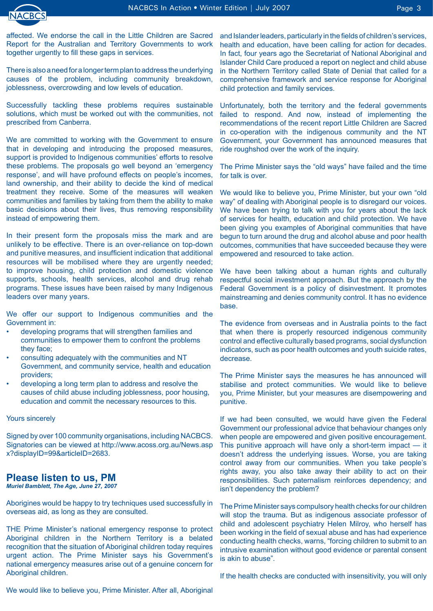

affected. We endorse the call in the Little Children are Sacred Report for the Australian and Territory Governments to work together urgently to fill these gaps in services.

There is also a need for a longer term plan to address the underlying causes of the problem, including community breakdown, joblessness, overcrowding and low levels of education.

Successfully tackling these problems requires sustainable solutions, which must be worked out with the communities, not prescribed from Canberra.

We are committed to working with the Government to ensure that in developing and introducing the proposed measures, support is provided to Indigenous communities' efforts to resolve these problems. The proposals go well beyond an 'emergency response', and will have profound effects on people's incomes, land ownership, and their ability to decide the kind of medical treatment they receive. Some of the measures will weaken communities and families by taking from them the ability to make basic decisions about their lives, thus removing responsibility instead of empowering them.

In their present form the proposals miss the mark and are unlikely to be effective. There is an over-reliance on top-down and punitive measures, and insufficient indication that additional resources will be mobilised where they are urgently needed; to improve housing, child protection and domestic violence supports, schools, health services, alcohol and drug rehab programs. These issues have been raised by many Indigenous leaders over many years.

We offer our support to Indigenous communities and the Government in:

- developing programs that will strengthen families and communities to empower them to confront the problems they face; •
- consulting adequately with the communities and NT Government, and community service, health and education providers; •
- developing a long term plan to address and resolve the causes of child abuse including joblessness, poor housing, education and commit the necessary resources to this. •

#### Yours sincerely

Signed by over 100 community organisations, including NACBCS. Signatories can be viewed at http://www.acoss.org.au/News.asp x?displayID=99&articleID=2683.

### **Please listen to us, PM**

*Muriel Bamblett, The Age, June 27, 2007*

Aborigines would be happy to try techniques used successfully in overseas aid, as long as they are consulted.

THE Prime Minister's national emergency response to protect Aboriginal children in the Northern Territory is a belated recognition that the situation of Aboriginal children today requires urgent action. The Prime Minister says his Government's national emergency measures arise out of a genuine concern for Aboriginal children.

and Islander leaders, particularly in the fields of children's services, health and education, have been calling for action for decades. In fact, four years ago the Secretariat of National Aboriginal and Islander Child Care produced a report on neglect and child abuse in the Northern Territory called State of Denial that called for a comprehensive framework and service response for Aboriginal child protection and family services.

Unfortunately, both the territory and the federal governments failed to respond. And now, instead of implementing the recommendations of the recent report Little Children are Sacred in co-operation with the indigenous community and the NT Government, your Government has announced measures that ride roughshod over the work of the inquiry.

The Prime Minister says the "old ways" have failed and the time for talk is over.

We would like to believe you, Prime Minister, but your own "old way" of dealing with Aboriginal people is to disregard our voices. We have been trying to talk with you for years about the lack of services for health, education and child protection. We have been giving you examples of Aboriginal communities that have begun to turn around the drug and alcohol abuse and poor health outcomes, communities that have succeeded because they were empowered and resourced to take action.

We have been talking about a human rights and culturally respectful social investment approach. But the approach by the Federal Government is a policy of disinvestment. It promotes mainstreaming and denies community control. It has no evidence base.

The evidence from overseas and in Australia points to the fact that when there is properly resourced indigenous community control and effective culturally based programs, social dysfunction indicators, such as poor health outcomes and youth suicide rates, decrease.

The Prime Minister says the measures he has announced will stabilise and protect communities. We would like to believe you, Prime Minister, but your measures are disempowering and punitive.

If we had been consulted, we would have given the Federal Government our professional advice that behaviour changes only when people are empowered and given positive encouragement. This punitive approach will have only a short-term impact — it doesn't address the underlying issues. Worse, you are taking control away from our communities. When you take people's rights away, you also take away their ability to act on their responsibilities. Such paternalism reinforces dependency; and isn't dependency the problem?

The Prime Minister says compulsory health checks for our children will stop the trauma. But as indigenous associate professor of child and adolescent psychiatry Helen Milroy, who herself has been working in the field of sexual abuse and has had experience conducting health checks, warns, "forcing children to submit to an intrusive examination without good evidence or parental consent is akin to abuse".

If the health checks are conducted with insensitivity, you will only

We would like to believe you, Prime Minister. After all, Aboriginal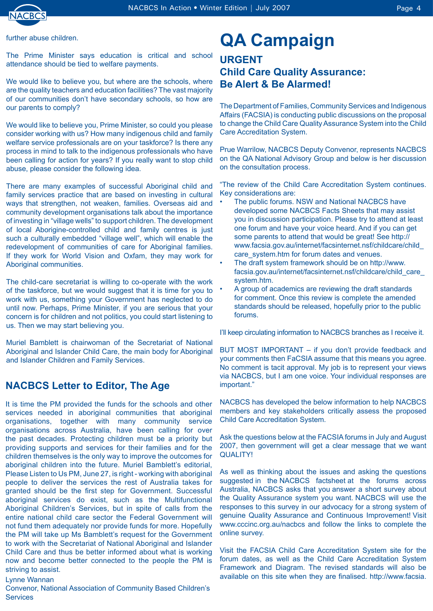

further abuse children.

The Prime Minister says education is critical and school attendance should be tied to welfare payments.

We would like to believe you, but where are the schools, where are the quality teachers and education facilities? The vast majority of our communities don't have secondary schools, so how are our parents to comply?

We would like to believe you, Prime Minister, so could you please consider working with us? How many indigenous child and family welfare service professionals are on your taskforce? Is there any process in mind to talk to the indigenous professionals who have been calling for action for years? If you really want to stop child abuse, please consider the following idea.

There are many examples of successful Aboriginal child and family services practice that are based on investing in cultural ways that strengthen, not weaken, families. Overseas aid and community development organisations talk about the importance of investing in "village wells" to support children. The development of local Aborigine-controlled child and family centres is just such a culturally embedded "village well", which will enable the redevelopment of communities of care for Aboriginal families. If they work for World Vision and Oxfam, they may work for Aboriginal communities.

The child-care secretariat is willing to co-operate with the work of the taskforce, but we would suggest that it is time for you to work with us, something your Government has neglected to do until now. Perhaps, Prime Minister, if you are serious that your concern is for children and not politics, you could start listening to us. Then we may start believing you.

Muriel Bamblett is chairwoman of the Secretariat of National Aboriginal and Islander Child Care, the main body for Aboriginal and Islander Children and Family Services.

## **NACBCS Letter to Editor, The Age**

It is time the PM provided the funds for the schools and other services needed in aboriginal communities that aboriginal organisations, together with many community service organisations across Australia, have been calling for over the past decades. Protecting children must be a priority but providing supports and services for their families and for the children themselves is the only way to improve the outcomes for aboriginal children into the future. Muriel Bamblett's editorial, Please Listen to Us PM, June 27, is right - working with aboriginal people to deliver the services the rest of Australia takes for granted should be the first step for Government. Successful aboriginal services do exist, such as the Multifunctional Aboriginal Children's Services, but in spite of calls from the entire national child care sector the Federal Government will not fund them adequately nor provide funds for more. Hopefully the PM will take up Ms Bamblett's request for the Government to work with the Secretariat of National Aboriginal and Islander Child Care and thus be better informed about what is working now and become better connected to the people the PM is striving to assist.

Lynne Wannan

Convenor, National Association of Community Based Children's **Services** 

## **QA Campaign**

## **URGENT Child Care Quality Assurance: Be Alert & Be Alarmed!**

The Department of Families, Community Services and Indigenous Affairs (FACSIA) is conducting public discussions on the proposal to change the Child Care Quality Assurance System into the Child Care Accreditation System.

Prue Warrilow, NACBCS Deputy Convenor, represents NACBCS on the QA National Advisory Group and below is her discussion on the consultation process.

"The review of the Child Care Accreditation System continues. Key considerations are:

- The public forums. NSW and National NACBCS have developed some NACBCS Facts Sheets that may assist you in discussion participation. Please try to attend at least one forum and have your voice heard. And if you can get some parents to attend that would be great! See http:// www.facsia.gov.au/internet/facsinternet.nsf/childcare/child\_ care system.htm for forum dates and venues. •
- The draft system framework should be on http://www. facsia.gov.au/internet/facsinternet.nsf/childcare/child\_care\_ system.htm. •
- A group of academics are reviewing the draft standards for comment. Once this review is complete the amended standards should be released, hopefully prior to the public forums. •

I'll keep circulating information to NACBCS branches as I receive it.

BUT MOST IMPORTANT – if you don't provide feedback and your comments then FaCSIA assume that this means you agree. No comment is tacit approval. My job is to represent your views via NACBCS, but I am one voice. Your individual responses are important."

NACBCS has developed the below information to help NACBCS members and key stakeholders critically assess the proposed Child Care Accreditation System.

Ask the questions below at the FACSIA forums in July and August 2007, then government will get a clear message that we want QUALITY!

As well as thinking about the issues and asking the questions suggested in the NACBCS factsheet at the forums across Australia, NACBCS asks that you answer a short survey about the Quality Assurance system you want. NACBCS will use the responses to this survey in our advocacy for a strong system of genuine Quality Assurance and Continuous Improvement! Visit www.cccinc.org.au/nacbcs and follow the links to complete the online survey.

Visit the FACSIA Child Care Accreditation System site for the forum dates, as well as the Child Care Accreditation System Framework and Diagram. The revised standards will also be available on this site when they are finalised. http://www.facsia.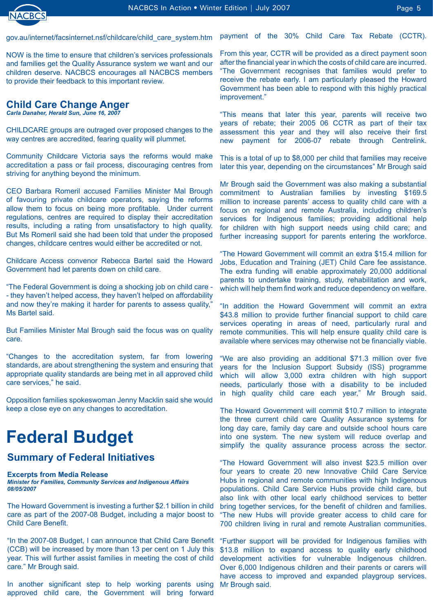

gov.au/internet/facsinternet.nsf/childcare/child\_care\_system.htm

NOW is the time to ensure that children's services professionals and families get the Quality Assurance system we want and our children deserve. NACBCS encourages all NACBCS members to provide their feedback to this important review.

### **Child Care Change Anger**

*Carla Danaher, Herald Sun, June 16, 2007* 

CHILDCARE groups are outraged over proposed changes to the way centres are accredited, fearing quality will plummet.

Community Childcare Victoria says the reforms would make accreditation a pass or fail process, discouraging centres from striving for anything beyond the minimum.

CEO Barbara Romeril accused Families Minister Mal Brough of favouring private childcare operators, saying the reforms allow them to focus on being more profitable. Under current regulations, centres are required to display their accreditation results, including a rating from unsatisfactory to high quality. But Ms Romeril said she had been told that under the proposed changes, childcare centres would either be accredited or not.

Childcare Access convenor Rebecca Bartel said the Howard Government had let parents down on child care.

"The Federal Government is doing a shocking job on child care - - they haven't helped access, they haven't helped on affordability and now they're making it harder for parents to assess quality," Ms Bartel said.

But Families Minister Mal Brough said the focus was on quality care.

"Changes to the accreditation system, far from lowering standards, are about strengthening the system and ensuring that appropriate quality standards are being met in all approved child care services," he said.

Opposition families spokeswoman Jenny Macklin said she would keep a close eye on any changes to accreditation.

## **Federal Budget**

### **Summary of Federal Initiatives**

#### **Excerpts from Media Release**

*Minister for Families, Community Services and Indigenous Affairs 08/05/2007*

The Howard Government is investing a further \$2.1 billion in child care as part of the 2007-08 Budget, including a major boost to Child Care Benefit.

"In the 2007-08 Budget, I can announce that Child Care Benefit (CCB) will be increased by more than 13 per cent on 1 July this year. This will further assist families in meeting the cost of child care." Mr Brough said.

In another significant step to help working parents using approved child care, the Government will bring forward

payment of the 30% Child Care Tax Rebate (CCTR).

From this year, CCTR will be provided as a direct payment soon after the financial year in which the costs of child care are incurred. "The Government recognises that families would prefer to receive the rebate early. I am particularly pleased the Howard Government has been able to respond with this highly practical improvement."

"This means that later this year, parents will receive two years of rebate; their 2005 06 CCTR as part of their tax assessment this year and they will also receive their first new payment for 2006-07 rebate through Centrelink.

This is a total of up to \$8,000 per child that families may receive later this year, depending on the circumstances" Mr Brough said

Mr Brough said the Government was also making a substantial commitment to Australian families by investing \$169.5 million to increase parents' access to quality child care with a focus on regional and remote Australia, including children's services for Indigenous families; providing additional help for children with high support needs using child care; and further increasing support for parents entering the workforce.

"The Howard Government will commit an extra \$15.4 million for Jobs, Education and Training (JET) Child Care fee assistance. The extra funding will enable approximately 20,000 additional parents to undertake training, study, rehabilitation and work, which will help them find work and reduce dependency on welfare.

"In addition the Howard Government will commit an extra \$43.8 million to provide further financial support to child care services operating in areas of need, particularly rural and remote communities. This will help ensure quality child care is available where services may otherwise not be financially viable.

"We are also providing an additional \$71.3 million over five years for the Inclusion Support Subsidy (ISS) programme which will allow 3,000 extra children with high support needs, particularly those with a disability to be included in high quality child care each year," Mr Brough said.

The Howard Government will commit \$10.7 million to integrate the three current child care Quality Assurance systems for long day care, family day care and outside school hours care into one system. The new system will reduce overlap and simplify the quality assurance process across the sector.

"The Howard Government will also invest \$23.5 million over four years to create 20 new Innovative Child Care Service Hubs in regional and remote communities with high Indigenous populations. Child Care Service Hubs provide child care, but also link with other local early childhood services to better bring together services, for the benefit of children and families. "The new Hubs will provide greater access to child care for 700 children living in rural and remote Australian communities.

"Further support will be provided for Indigenous families with \$13.8 million to expand access to quality early childhood development activities for vulnerable Indigenous children. Over 6,000 Indigenous children and their parents or carers will have access to improved and expanded playgroup services. Mr Brough said.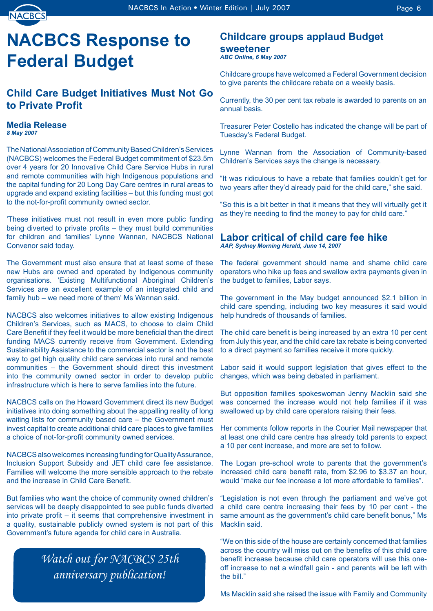

## **NACBCS Response to Federal Budget**

## **Child Care Budget Initiatives Must Not Go to Private Profit**

## **Media Release**

*8 May 2007*

The National Association of Community Based Children's Services (NACBCS) welcomes the Federal Budget commitment of \$23.5m over 4 years for 20 Innovative Child Care Service Hubs in rural and remote communities with high Indigenous populations and the capital funding for 20 Long Day Care centres in rural areas to upgrade and expand existing facilities – but this funding must got to the not-for-profit community owned sector.

'These initiatives must not result in even more public funding being diverted to private profits – they must build communities for children and families' Lynne Wannan, NACBCS National Convenor said today.

The Government must also ensure that at least some of these new Hubs are owned and operated by Indigenous community organisations. 'Existing Multifunctional Aboriginal Children's Services are an excellent example of an integrated child and family hub – we need more of them' Ms Wannan said.

NACBCS also welcomes initiatives to allow existing Indigenous Children's Services, such as MACS, to choose to claim Child Care Benefit if they feel it would be more beneficial than the direct funding MACS currently receive from Government. Extending Sustainability Assistance to the commercial sector is not the best way to get high quality child care services into rural and remote communities – the Government should direct this investment into the community owned sector in order to develop public infrastructure which is here to serve families into the future.

NACBCS calls on the Howard Government direct its new Budget initiatives into doing something about the appalling reality of long waiting lists for community based care – the Government must invest capital to create additional child care places to give families a choice of not-for-profit community owned services.

NACBCS also welcomes increasing funding for Quality Assurance, Inclusion Support Subsidy and JET child care fee assistance. Families will welcome the more sensible approach to the rebate and the increase in Child Care Benefit.

But families who want the choice of community owned children's services will be deeply disappointed to see public funds diverted into private profit – it seems that comprehensive investment in a quality, sustainable publicly owned system is not part of this Government's future agenda for child care in Australia.

## *Watch out for NACBCS 25th anniversary publication!*

## **Childcare groups applaud Budget sweetener**

*ABC Online, 6 May 2007*

Childcare groups have welcomed a Federal Government decision to give parents the childcare rebate on a weekly basis.

Currently, the 30 per cent tax rebate is awarded to parents on an annual basis.

Treasurer Peter Costello has indicated the change will be part of Tuesday's Federal Budget.

Lynne Wannan from the Association of Community-based Children's Services says the change is necessary.

"It was ridiculous to have a rebate that families couldn't get for two years after they'd already paid for the child care," she said.

"So this is a bit better in that it means that they will virtually get it as they're needing to find the money to pay for child care."

#### **Labor critical of child care fee hike** *AAP, Sydney Morning Herald, June 14, 2007*

The federal government should name and shame child care operators who hike up fees and swallow extra payments given in the budget to families, Labor says.

The government in the May budget announced \$2.1 billion in child care spending, including two key measures it said would help hundreds of thousands of families.

The child care benefit is being increased by an extra 10 per cent from July this year, and the child care tax rebate is being converted to a direct payment so families receive it more quickly.

Labor said it would support legislation that gives effect to the changes, which was being debated in parliament.

But opposition families spokeswoman Jenny Macklin said she was concerned the increase would not help families if it was swallowed up by child care operators raising their fees.

Her comments follow reports in the Courier Mail newspaper that at least one child care centre has already told parents to expect a 10 per cent increase, and more are set to follow.

The Logan pre-school wrote to parents that the government's increased child care benefit rate, from \$2.96 to \$3.37 an hour, would "make our fee increase a lot more affordable to families".

"Legislation is not even through the parliament and we've got a child care centre increasing their fees by 10 per cent - the same amount as the government's child care benefit bonus," Ms Macklin said.

"We on this side of the house are certainly concerned that families across the country will miss out on the benefits of this child care benefit increase because child care operators will use this oneoff increase to net a windfall gain - and parents will be left with the bill."

Ms Macklin said she raised the issue with Family and Community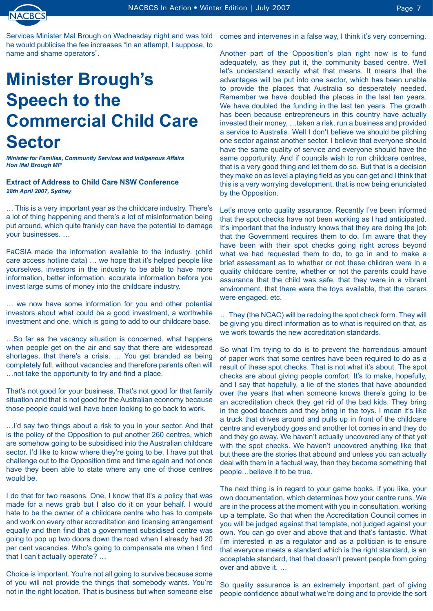

Services Minister Mal Brough on Wednesday night and was told he would publicise the fee increases "in an attempt, I suppose, to name and shame operators".

## **Minister Brough's Speech to the Commercial Child Care Sector**

*Minister for Families, Community Services and Indigenous Affairs Hon Mal Brough MP*

#### **Extract of Address to Child Care NSW Conference** *28th April 2007, Sydney*

… This is a very important year as the childcare industry. There's a lot of thing happening and there's a lot of misinformation being put around, which quite frankly can have the potential to damage your businesses. …

FaCSIA made the information available to the industry. (child care access hotline data) … we hope that it's helped people like yourselves, investors in the industry to be able to have more information, better information, accurate information before you invest large sums of money into the childcare industry.

… we now have some information for you and other potential investors about what could be a good investment, a worthwhile investment and one, which is going to add to our childcare base.

…So far as the vacancy situation is concerned, what happens when people get on the air and say that there are widespread shortages, that there's a crisis. … You get branded as being completely full, without vacancies and therefore parents often will …not take the opportunity to try and find a place.

That's not good for your business. That's not good for that family situation and that is not good for the Australian economy because those people could well have been looking to go back to work.

…I'd say two things about a risk to you in your sector. And that is the policy of the Opposition to put another 260 centres, which are somehow going to be subsidised into the Australian childcare sector. I'd like to know where they're going to be. I have put that challenge out to the Opposition time and time again and not once have they been able to state where any one of those centres would be.

I do that for two reasons. One, I know that it's a policy that was made for a news grab but I also do it on your behalf. I would hate to be the owner of a childcare centre who has to compete and work on every other accreditation and licensing arrangement equally and then find that a government subsidised centre was going to pop up two doors down the road when I already had 20 per cent vacancies. Who's going to compensate me when I find that I can't actually operate? …

Choice is important. You're not all going to survive because some of you will not provide the things that somebody wants. You're not in the right location. That is business but when someone else comes and intervenes in a false way, I think it's very concerning.

Another part of the Opposition's plan right now is to fund adequately, as they put it, the community based centre. Well let's understand exactly what that means. It means that the advantages will be put into one sector, which has been unable to provide the places that Australia so desperately needed. Remember we have doubled the places in the last ten years. We have doubled the funding in the last ten years. The growth has been because entrepreneurs in this country have actually invested their money, …taken a risk, run a business and provided a service to Australia. Well I don't believe we should be pitching one sector against another sector. I believe that everyone should have the same quality of service and everyone should have the same opportunity. And if councils wish to run childcare centres, that is a very good thing and let them do so. But that is a decision they make on as level a playing field as you can get and I think that this is a very worrying development, that is now being enunciated by the Opposition.

Let's move onto quality assurance. Recently I've been informed that the spot checks have not been working as I had anticipated. It's important that the industry knows that they are doing the job that the Government requires them to do. I'm aware that they have been with their spot checks going right across beyond what we had requested them to do, to go in and to make a brief assessment as to whether or not these children were in a quality childcare centre, whether or not the parents could have assurance that the child was safe, that they were in a vibrant environment, that there were the toys available, that the carers were engaged, etc.

… They (the NCAC) will be redoing the spot check form. They will be giving you direct information as to what is required on that, as we work towards the new accreditation standards.

So what I'm trying to do is to prevent the horrendous amount of paper work that some centres have been required to do as a result of these spot checks. That is not what it's about. The spot checks are about giving people comfort. It's to make, hopefully, and I say that hopefully, a lie of the stories that have abounded over the years that when someone knows there's going to be an accreditation check they get rid of the bad kids. They bring in the good teachers and they bring in the toys. I mean it's like a truck that drives around and pulls up in front of the childcare centre and everybody goes and another lot comes in and they do and they go away. We haven't actually uncovered any of that yet with the spot checks. We haven't uncovered anything like that but these are the stories that abound and unless you can actually deal with them in a factual way, then they become something that people…believe it to be true.

The next thing is in regard to your game books, if you like, your own documentation, which determines how your centre runs. We are in the process at the moment with you in consultation, working up a template. So that when the Accreditation Council comes in you will be judged against that template, not judged against your own. You can go over and above that and that's fantastic. What I'm interested in as a regulator and as a politician is to ensure that everyone meets a standard which is the right standard, is an acceptable standard, that that doesn't prevent people from going over and above it. …

So quality assurance is an extremely important part of giving people confidence about what we're doing and to provide the sort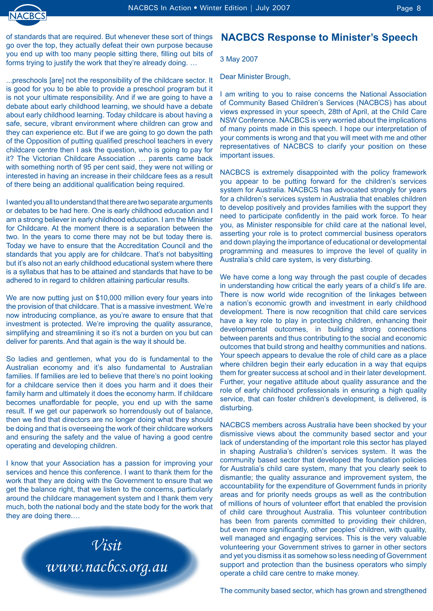

NACBCS In Action • Winter Edition | July 2007 **Page 8** Page 8

of standards that are required. But whenever these sort of things go over the top, they actually defeat their own purpose because you end up with too many people sitting there, filling out bits of forms trying to justify the work that they're already doing. …

...preschools [are] not the responsibility of the childcare sector. It is good for you to be able to provide a preschool program but it is not your ultimate responsibility. And if we are going to have a debate about early childhood learning, we should have a debate about early childhood learning. Today childcare is about having a safe, secure, vibrant environment where children can grow and they can experience etc. But if we are going to go down the path of the Opposition of putting qualified preschool teachers in every childcare centre then I ask the question, who is going to pay for it? The Victorian Childcare Association … parents came back with something north of 95 per cent said, they were not willing or interested in having an increase in their childcare fees as a result of there being an additional qualification being required.

I wanted you all to understand that there are two separate arguments or debates to be had here. One is early childhood education and I am a strong believer in early childhood education. I am the Minister for Childcare. At the moment there is a separation between the two. In the years to come there may not be but today there is. Today we have to ensure that the Accreditation Council and the standards that you apply are for childcare. That's not babysitting but it's also not an early childhood educational system where there is a syllabus that has to be attained and standards that have to be adhered to in regard to children attaining particular results.

We are now putting just on \$10,000 million every four years into the provision of that childcare. That is a massive investment. We're now introducing compliance, as you're aware to ensure that that investment is protected. We're improving the quality assurance, simplifying and streamlining it so it's not a burden on you but can deliver for parents. And that again is the way it should be.

So ladies and gentlemen, what you do is fundamental to the Australian economy and it's also fundamental to Australian families. If families are led to believe that there's no point looking for a childcare service then it does you harm and it does their family harm and ultimately it does the economy harm. If childcare becomes unaffordable for people, you end up with the same result. If we get our paperwork so horrendously out of balance, then we find that directors are no longer doing what they should be doing and that is overseeing the work of their childcare workers and ensuring the safety and the value of having a good centre operating and developing children.

I know that your Association has a passion for improving your services and hence this conference. I want to thank them for the work that they are doing with the Government to ensure that we get the balance right, that we listen to the concerns, particularly around the childcare management system and I thank them very much, both the national body and the state body for the work that they are doing there.…



### **NACBCS Response to Minister's Speech**

3 May 2007

Dear Minister Brough,

I am writing to you to raise concerns the National Association of Community Based Children's Services (NACBCS) has about views expressed in your speech, 28th of April, at the Child Care NSW Conference. NACBCS is very worried about the implications of many points made in this speech. I hope our interpretation of your comments is wrong and that you will meet with me and other representatives of NACBCS to clarify your position on these important issues.

NACBCS is extremely disappointed with the policy framework you appear to be putting forward for the children's services system for Australia. NACBCS has advocated strongly for years for a children's services system in Australia that enables children to develop positively and provides families with the support they need to participate confidently in the paid work force. To hear you, as Minister responsible for child care at the national level, asserting your role is to protect commercial business operators and down playing the importance of educational or developmental programming and measures to improve the level of quality in Australia's child care system, is very disturbing.

We have come a long way through the past couple of decades in understanding how critical the early years of a child's life are. There is now world wide recognition of the linkages between a nation's economic growth and investment in early childhood development. There is now recognition that child care services have a key role to play in protecting children, enhancing their developmental outcomes, in building strong connections between parents and thus contributing to the social and economic outcomes that build strong and healthy communities and nations. Your speech appears to devalue the role of child care as a place where children begin their early education in a way that equips them for greater success at school and in their later development. Further, your negative attitude about quality assurance and the role of early childhood professionals in ensuring a high quality service, that can foster children's development, is delivered, is disturbing.

NACBCS members across Australia have been shocked by your dismissive views about the community based sector and your lack of understanding of the important role this sector has played in shaping Australia's children's services system. It was the community based sector that developed the foundation policies for Australia's child care system, many that you clearly seek to dismantle; the quality assurance and improvement system, the accountability for the expenditure of Government funds in priority areas and for priority needs groups as well as the contribution of millions of hours of volunteer effort that enabled the provision of child care throughout Australia. This volunteer contribution has been from parents committed to providing their children, but even more significantly, other peoples' children, with quality, well managed and engaging services. This is the very valuable volunteering your Government strives to garner in other sectors and yet you dismiss it as somehow so less needing of Government support and protection than the business operators who simply operate a child care centre to make money.

The community based sector, which has grown and strengthened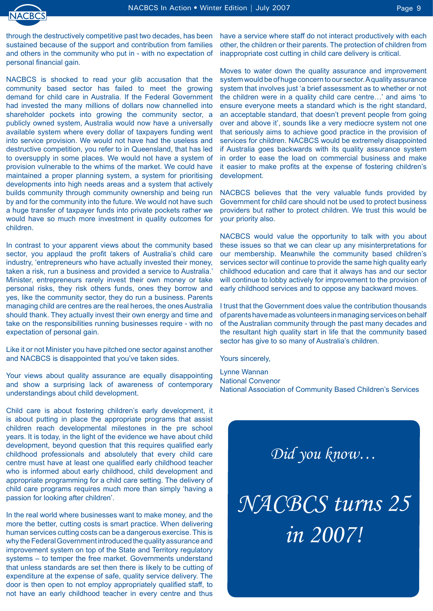

through the destructively competitive past two decades, has been sustained because of the support and contribution from families and others in the community who put in - with no expectation of personal financial gain.

NACBCS is shocked to read your glib accusation that the community based sector has failed to meet the growing demand for child care in Australia. If the Federal Government had invested the many millions of dollars now channelled into shareholder pockets into growing the community sector, a publicly owned system, Australia would now have a universally available system where every dollar of taxpayers funding went into service provision. We would not have had the useless and destructive competition, you refer to in Queensland, that has led to oversupply in some places. We would not have a system of provision vulnerable to the whims of the market. We could have maintained a proper planning system, a system for prioritising developments into high needs areas and a system that actively builds community through community ownership and being run by and for the community into the future. We would not have such a huge transfer of taxpayer funds into private pockets rather we would have so much more investment in quality outcomes for children.

In contrast to your apparent views about the community based sector, you applaud the profit takers of Australia's child care industry, 'entrepreneurs who have actually invested their money, taken a risk, run a business and provided a service to Australia.' Minister, entrepreneurs rarely invest their own money or take personal risks, they risk others funds, ones they borrow and yes, like the community sector, they do run a business. Parents managing child are centres are the real heroes, the ones Australia should thank. They actually invest their own energy and time and take on the responsibilities running businesses require - with no expectation of personal gain.

Like it or not Minister you have pitched one sector against another and NACBCS is disappointed that you've taken sides.

Your views about quality assurance are equally disappointing and show a surprising lack of awareness of contemporary understandings about child development.

Child care is about fostering children's early development, it is about putting in place the appropriate programs that assist children reach developmental milestones in the pre school years. It is today, in the light of the evidence we have about child development, beyond question that this requires qualified early childhood professionals and absolutely that every child care centre must have at least one qualified early childhood teacher who is informed about early childhood, child development and appropriate programming for a child care setting. The delivery of child care programs requires much more than simply 'having a passion for looking after children'.

In the real world where businesses want to make money, and the more the better, cutting costs is smart practice. When delivering human services cutting costs can be a dangerous exercise. This is why the Federal Government introduced the quality assurance and improvement system on top of the State and Territory regulatory systems – to temper the free market. Governments understand that unless standards are set then there is likely to be cutting of expenditure at the expense of safe, quality service delivery. The door is then open to not employ appropriately qualified staff, to not have an early childhood teacher in every centre and thus

have a service where staff do not interact productively with each other, the children or their parents. The protection of children from inappropriate cost cutting in child care delivery is critical.

Moves to water down the quality assurance and improvement system would be of huge concern to our sector. A quality assurance system that involves just 'a brief assessment as to whether or not the children were in a quality child care centre…' and aims 'to ensure everyone meets a standard which is the right standard, an acceptable standard, that doesn't prevent people from going over and above it', sounds like a very mediocre system not one that seriously aims to achieve good practice in the provision of services for children. NACBCS would be extremely disappointed if Australia goes backwards with its quality assurance system in order to ease the load on commercial business and make it easier to make profits at the expense of fostering children's development.

NACBCS believes that the very valuable funds provided by Government for child care should not be used to protect business providers but rather to protect children. We trust this would be your priority also.

NACBCS would value the opportunity to talk with you about these issues so that we can clear up any misinterpretations for our membership. Meanwhile the community based children's services sector will continue to provide the same high quality early childhood education and care that it always has and our sector will continue to lobby actively for improvement to the provision of early childhood services and to oppose any backward moves.

I trust that the Government does value the contribution thousands of parents have made as volunteers in managing services on behalf of the Australian community through the past many decades and the resultant high quality start in life that the community based sector has give to so many of Australia's children.

Yours sincerely,

Lynne Wannan National Convenor National Association of Community Based Children's Services

*Did you know…*

*NACBCS turns 25 in 2007!*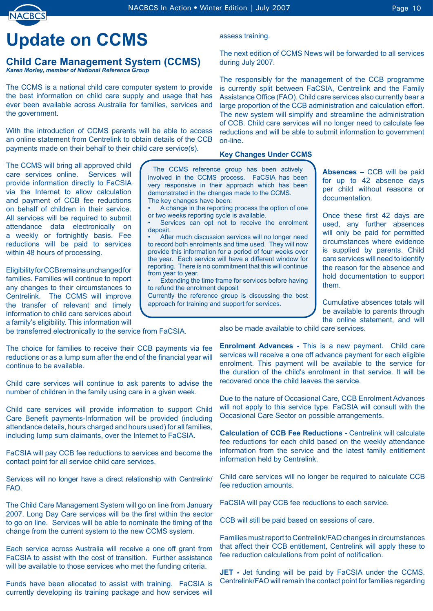## **Update on CCMS**

#### **Child Care Management System (CCMS)** *Karen Morley, member of National Reference Group*

The CCMS is a national child care computer system to provide the best information on child care supply and usage that has ever been available across Australia for families, services and the government.

With the introduction of CCMS parents will be able to access an online statement from Centrelink to obtain details of the CCB payments made on their behalf to their child care service(s).

The CCMS will bring all approved child care services online. Services will provide information directly to FaCSIA via the Internet to allow calculation and payment of CCB fee reductions on behalf of children in their service. All services will be required to submit attendance data electronically on a weekly or fortnightly basis. Fee reductions will be paid to services within 48 hours of processing.

Eligibility for CCB remains unchanged for families. Families will continue to report any changes to their circumstances to Centrelink. The CCMS will improve the transfer of relevant and timely information to child care services about a family's eligibility. This information will

assess training.

The next edition of CCMS News will be forwarded to all services during July 2007.

The responsibly for the management of the CCB programme is currently split between FaCSIA, Centrelink and the Family Assistance Office (FAO). Child care services also currently bear a large proportion of the CCB administration and calculation effort. The new system will simplify and streamline the administration of CCB. Child care services will no longer need to calculate fee reductions and will be able to submit information to government on-line.

#### **Key Changes Under CCMS**

The CCMS reference group has been actively involved in the CCMS process. FaCSIA has been very responsive in their approach which has been demonstrated in the changes made to the CCMS. The key changes have been: A change in the reporting process the option of one •

or two weeks reporting cycle is available. Services can opt not to receive the enrolment deposit. •

After much discussion services will no longer need to record both enrolments and time used. They will now provide this information for a period of four weeks over the year. Each service will have a different window for reporting. There is no commitment that this will continue from year to year. •

Extending the time frame for services before having to refund the enrolment deposit •

Currently the reference group is discussing the best approach for training and support for services.

**Absences –** CCB will be paid for up to 42 absence days per child without reasons or documentation.

Once these first 42 days are used, any further absences will only be paid for permitted circumstances where evidence is supplied by parents. Child care services will need to identify the reason for the absence and hold documentation to support them.

Cumulative absences totals will be available to parents through the online statement, and will

be transferred electronically to the service from FaCSIA.

The choice for families to receive their CCB payments via fee reductions or as a lump sum after the end of the financial year will continue to be available.

Child care services will continue to ask parents to advise the number of children in the family using care in a given week.

Child care services will provide information to support Child Care Benefit payments-Information will be provided (including attendance details, hours charged and hours used) for all families, including lump sum claimants, over the Internet to FaCSIA.

FaCSIA will pay CCB fee reductions to services and become the contact point for all service child care services.

Services will no longer have a direct relationship with Centrelink/ FAO.

The Child Care Management System will go on line from January 2007. Long Day Care services will be the first within the sector to go on line. Services will be able to nominate the timing of the change from the current system to the new CCMS system.

Each service across Australia will receive a one off grant from FaCSIA to assist with the cost of transition. Further assistance will be available to those services who met the funding criteria.

Funds have been allocated to assist with training. FaCSIA is currently developing its training package and how services will

also be made available to child care services.

**Enrolment Advances -** This is a new payment. Child care services will receive a one off advance payment for each eligible enrolment. This payment will be available to the service for the duration of the child's enrolment in that service. It will be recovered once the child leaves the service.

Due to the nature of Occasional Care, CCB Enrolment Advances will not apply to this service type. FaCSIA will consult with the Occasional Care Sector on possible arrangements.

**Calculation of CCB Fee Reductions - Centrelink will calculate** fee reductions for each child based on the weekly attendance information from the service and the latest family entitlement information held by Centrelink.

Child care services will no longer be required to calculate CCB fee reduction amounts.

FaCSIA will pay CCB fee reductions to each service.

CCB will still be paid based on sessions of care.

Families must report to Centrelink/FAO changes in circumstances that affect their CCB entitlement, Centrelink will apply these to fee reduction calculations from point of notification.

**JET** - Jet funding will be paid by FaCSIA under the CCMS. Centrelink/FAO will remain the contact point for families regarding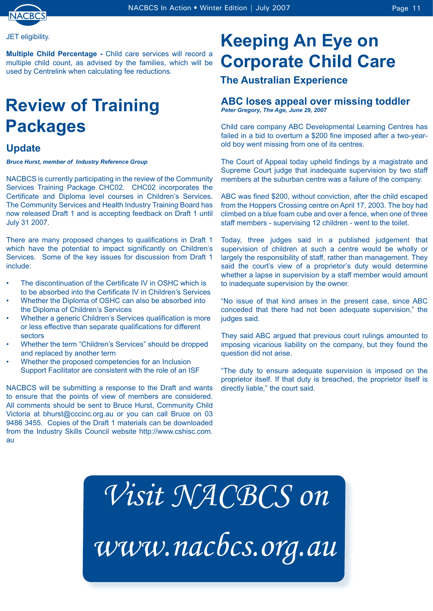

#### JET eligibility.

**Multiple Child Percentage -** Child care services will record a multiple child count, as advised by the families, which will be used by Centrelink when calculating fee reductions.

## **Review of Training Packages**

### **Update**

*Bruce Hurst, member of Industry Reference Group*

NACBCS is currently participating in the review of the Community Services Training Package CHC02. CHC02 incorporates the Certificate and Diploma level courses in Children's Services. The Community Services and Health Industry Training Board has now released Draft 1 and is accepting feedback on Draft 1 until July 31 2007.

There are many proposed changes to qualifications in Draft 1 which have the potential to impact significantly on Children's Services. Some of the key issues for discussion from Draft 1 include:

- The discontinuation of the Certificate IV in OSHC which is to be absorbed into the Certificate IV in Children's Services •
- Whether the Diploma of OSHC can also be absorbed into the Diploma of Children's Services •
- Whether a generic Children's Services qualification is more or less effective than separate qualifications for different sectors •
- Whether the term "Children's Services" should be dropped and replaced by another term •
- Whether the proposed competencies for an Inclusion Support Facilitator are consistent with the role of an ISF •

NACBCS will be submitting a response to the Draft and wants to ensure that the points of view of members are considered. All comments should be sent to Bruce Hurst, Community Child Victoria at bhurst@cccinc.org.au or you can call Bruce on 03 9486 3455. Copies of the Draft 1 materials can be downloaded from the Industry Skills Council website http://www.cshisc.com. au

## **Keeping An Eye on Corporate Child Care**

### **The Australian Experience**

#### **ABC loses appeal over missing toddler** *Peter Gregory, The Age, June 29, 2007*

Child care company ABC Developmental Learning Centres has failed in a bid to overturn a \$200 fine imposed after a two-yearold boy went missing from one of its centres.

The Court of Appeal today upheld findings by a magistrate and Supreme Court judge that inadequate supervision by two staff members at the suburban centre was a failure of the company.

ABC was fined \$200, without conviction, after the child escaped from the Hoppers Crossing centre on April 17, 2003. The boy had climbed on a blue foam cube and over a fence, when one of three staff members - supervising 12 children - went to the toilet.

Today, three judges said in a published judgement that supervision of children at such a centre would be wholly or largely the responsibility of staff, rather than management. They said the court's view of a proprietor's duty would determine whether a lapse in supervision by a staff member would amount to inadequate supervision by the owner.

"No issue of that kind arises in the present case, since ABC conceded that there had not been adequate supervision," the judges said.

They said ABC argued that previous court rulings amounted to imposing vicarious liability on the company, but they found the question did not arise.

"The duty to ensure adequate supervision is imposed on the proprietor itself. If that duty is breached, the proprietor itself is directly liable," the court said.

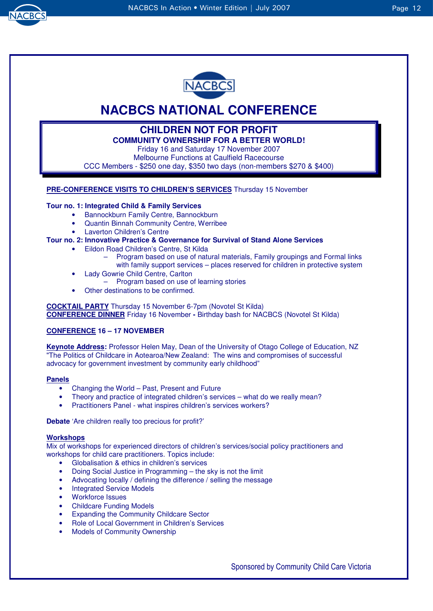



## **NACBCS NATIONAL CONFERENCE**

## **CHILDREN NOT FOR PROFIT**

**COMMUNITY OWNERSHIP FOR A BETTER WORLD!** 

Friday 16 and Saturday 17 November 2007 Melbourne Functions at Caulfield Racecourse

CCC Members - \$250 one day, \$350 two days (non-members \$270 & \$400)

#### **PRE-CONFERENCE VISITS TO CHILDREN'S SERVICES** Thursday 15 November

#### **Tour no. 1: Integrated Child & Family Services**

- Bannockburn Family Centre, Bannockburn
- Quantin Binnah Community Centre, Werribee
- Laverton Children's Centre

#### **Tour no. 2: Innovative Practice & Governance for Survival of Stand Alone Services**

- Eildon Road Children's Centre, St Kilda
	- Program based on use of natural materials, Family groupings and Formal links with family support services – places reserved for children in protective system
- Lady Gowrie Child Centre, Carlton
	- Program based on use of learning stories
- Other destinations to be confirmed.

**COCKTAIL PARTY** Thursday 15 November 6-7pm (Novotel St Kilda) **CONFERENCE DINNER** Friday 16 November **-** Birthday bash for NACBCS (Novotel St Kilda)

#### **CONFERENCE 16 – 17 NOVEMBER**

**Keynote Address:** Professor Helen May, Dean of the University of Otago College of Education, NZ "The Politics of Childcare in Aotearoa/New Zealand: The wins and compromises of successful advocacy for government investment by community early childhood"

#### **Panels**

- Changing the World Past, Present and Future
- Theory and practice of integrated children's services what do we really mean?
- Practitioners Panel what inspires children's services workers?

**Debate** 'Are children really too precious for profit?'

#### **Workshops**

Mix of workshops for experienced directors of children's services/social policy practitioners and workshops for child care practitioners. Topics include:

- Globalisation & ethics in children's services
- Doing Social Justice in Programming the sky is not the limit
- Advocating locally / defining the difference / selling the message
- **Integrated Service Models**
- Workforce Issues
- Childcare Funding Models
- Expanding the Community Childcare Sector
- Role of Local Government in Children's Services
- **Models of Community Ownership**

Sponsored by Community Child Care Victoria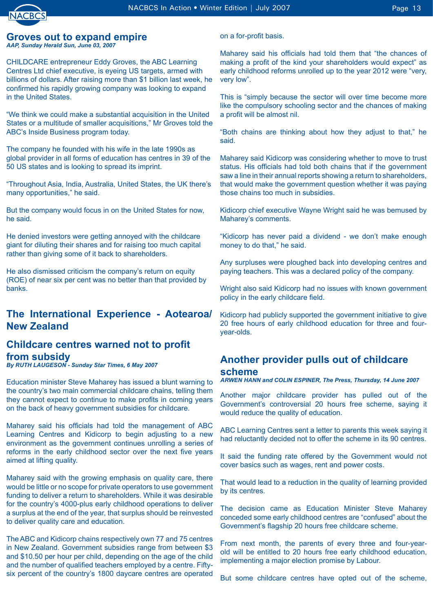## **Groves out to expand empire**

*AAP, Sunday Herald Sun, June 03, 2007* 

CHILDCARE entrepreneur Eddy Groves, the ABC Learning Centres Ltd chief executive, is eyeing US targets, armed with billions of dollars. After raising more than \$1 billion last week, he confirmed his rapidly growing company was looking to expand in the United States.

"We think we could make a substantial acquisition in the United States or a multitude of smaller acquisitions," Mr Groves told the ABC's Inside Business program today.

The company he founded with his wife in the late 1990s as global provider in all forms of education has centres in 39 of the 50 US states and is looking to spread its imprint.

"Throughout Asia, India, Australia, United States, the UK there's many opportunities," he said.

But the company would focus in on the United States for now, he said.

He denied investors were getting annoyed with the childcare giant for diluting their shares and for raising too much capital rather than giving some of it back to shareholders.

He also dismissed criticism the company's return on equity (ROE) of near six per cent was no better than that provided by banks.

## **The International Experience - Aotearoa/ New Zealand**

## **Childcare centres warned not to profit from subsidy**

*By RUTH LAUGESON - Sunday Star Times, 6 May 2007*

Education minister Steve Maharey has issued a blunt warning to the country's two main commercial childcare chains, telling them they cannot expect to continue to make profits in coming years on the back of heavy government subsidies for childcare.

Maharey said his officials had told the management of ABC Learning Centres and Kidicorp to begin adjusting to a new environment as the government continues unrolling a series of reforms in the early childhood sector over the next five years aimed at lifting quality.

Maharey said with the growing emphasis on quality care, there would be little or no scope for private operators to use government funding to deliver a return to shareholders. While it was desirable for the country's 4000-plus early childhood operations to deliver a surplus at the end of the year, that surplus should be reinvested to deliver quality care and education.

The ABC and Kidicorp chains respectively own 77 and 75 centres in New Zealand. Government subsidies range from between \$3 and \$10.50 per hour per child, depending on the age of the child and the number of qualified teachers employed by a centre. Fiftysix percent of the country's 1800 daycare centres are operated

on a for-profit basis.

Maharey said his officials had told them that "the chances of making a profit of the kind your shareholders would expect" as early childhood reforms unrolled up to the year 2012 were "very, very low".

This is "simply because the sector will over time become more like the compulsory schooling sector and the chances of making a profit will be almost nil.

"Both chains are thinking about how they adjust to that," he said.

Maharey said Kidicorp was considering whether to move to trust status. His officials had told both chains that if the government saw a line in their annual reports showing a return to shareholders, that would make the government question whether it was paying those chains too much in subsidies.

Kidicorp chief executive Wayne Wright said he was bemused by Maharey's comments.

"Kidicorp has never paid a dividend - we don't make enough money to do that," he said.

Any surpluses were ploughed back into developing centres and paying teachers. This was a declared policy of the company.

Wright also said Kidicorp had no issues with known government policy in the early childcare field.

Kidicorp had publicly supported the government initiative to give 20 free hours of early childhood education for three and fouryear-olds.

## **Another provider pulls out of childcare**

#### **scheme**

*ARWEN HANN and COLIN ESPINER, The Press, Thursday, 14 June 2007*

Another major childcare provider has pulled out of the Government's controversial 20 hours free scheme, saying it would reduce the quality of education.

ABC Learning Centres sent a letter to parents this week saying it had reluctantly decided not to offer the scheme in its 90 centres.

It said the funding rate offered by the Government would not cover basics such as wages, rent and power costs.

That would lead to a reduction in the quality of learning provided by its centres.

The decision came as Education Minister Steve Maharey conceded some early childhood centres are "confused" about the Government's flagship 20 hours free childcare scheme.

From next month, the parents of every three and four-yearold will be entitled to 20 hours free early childhood education, implementing a major election promise by Labour.

But some childcare centres have opted out of the scheme,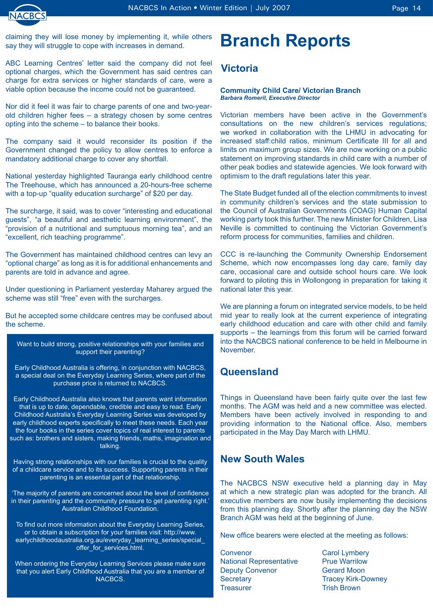ABC Learning Centres' letter said the company did not feel optional charges, which the Government has said centres can charge for extra services or higher standards of care, were a viable option because the income could not be guaranteed.

Nor did it feel it was fair to charge parents of one and two-yearold children higher fees – a strategy chosen by some centres opting into the scheme – to balance their books.

The company said it would reconsider its position if the Government changed the policy to allow centres to enforce a mandatory additional charge to cover any shortfall.

National yesterday highlighted Tauranga early childhood centre The Treehouse, which has announced a 20-hours-free scheme with a top-up "quality education surcharge" of \$20 per day.

The surcharge, it said, was to cover "interesting and educational guests", "a beautiful and aesthetic learning environment", the "provision of a nutritional and sumptuous morning tea", and an "excellent, rich teaching programme".

The Government has maintained childhood centres can levy an "optional charge" as long as it is for additional enhancements and parents are told in advance and agree.

Under questioning in Parliament yesterday Maharey argued the scheme was still "free" even with the surcharges.

But he accepted some childcare centres may be confused about the scheme.

Want to build strong, positive relationships with your families and support their parenting?

Early Childhood Australia is offering, in conjunction with NACBCS, a special deal on the Everyday Learning Series, where part of the purchase price is returned to NACBCS.

Early Childhood Australia also knows that parents want information that is up to date, dependable, credible and easy to read. Early Childhood Australia's Everyday Learning Series was developed by early childhood experts specifically to meet these needs. Each year the four books in the series cover topics of real interest to parents such as: brothers and sisters, making friends, maths, imagination and talking.

Having strong relationships with our families is crucial to the quality of a childcare service and to its success. Supporting parents in their parenting is an essential part of that relationship.

'The majority of parents are concerned about the level of confidence in their parenting and the community pressure to get parenting right.' Australian Childhood Foundation.

To find out more information about the Everyday Learning Series, or to obtain a subscription for your families visit: http://www. earlychildhoodaustralia.org.au/everyday\_learning\_series/special\_ offer for services.html.

When ordering the Everyday Learning Services please make sure that you alert Early Childhood Australia that you are a member of NACBCS.

## **Branch Reports**

### **Victoria**

#### **Community Child Care/ Victorian Branch**  *Barbara Romeril, Executive Director*

Victorian members have been active in the Government's consultations on the new children's services regulations; we worked in collaboration with the LHMU in advocating for increased staff:child ratios, minimum Certificate III for all and limits on maximum group sizes. We are now working on a public statement on improving standards in child care with a number of other peak bodies and statewide agencies. We look forward with optimism to the draft regulations later this year.

The State Budget funded all of the election commitments to invest in community children's services and the state submission to the Council of Australian Governments (COAG) Human Capital working party took this further. The new Minister for Children, Lisa Neville is committed to continuing the Victorian Government's reform process for communities, families and children.

CCC is re-launching the Community Ownership Endorsement Scheme, which now encompasses long day care, family day care, occasional care and outside school hours care. We look forward to piloting this in Wollongong in preparation for taking it national later this year.

We are planning a forum on integrated service models, to be held mid year to really look at the current experience of integrating early childhood education and care with other child and family supports – the learnings from this forum will be carried forward into the NACBCS national conference to be held in Melbourne in November.

### **Queensland**

Things in Queensland have been fairly quite over the last few months. The AGM was held and a new committee was elected. Members have been actively involved in responding to and providing information to the National office. Also, members participated in the May Day March with LHMU.

### **New South Wales**

The NACBCS NSW executive held a planning day in May at which a new strategic plan was adopted for the branch. All executive members are now busily implementing the decisions from this planning day. Shortly after the planning day the NSW Branch AGM was held at the beginning of June.

New office bearers were elected at the meeting as follows:

Convenor Carol Lymbery National Representative Prue Warrilow Deputy Convenor Gerard Moon Secretary **Tracey Kirk-Downey** Treasurer Trish Brown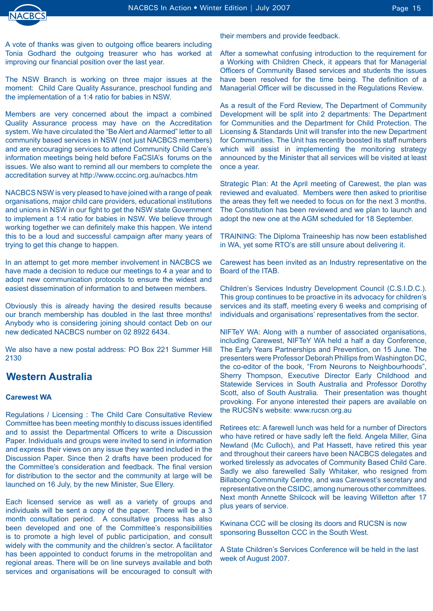

A vote of thanks was given to outgoing office bearers including Tonia Godhard the outgoing treasurer who has worked at improving our financial position over the last year.

The NSW Branch is working on three major issues at the moment: Child Care Quality Assurance, preschool funding and the implementation of a 1:4 ratio for babies in NSW.

Members are very concerned about the impact a combined Quality Assurance process may have on the Accreditation system. We have circulated the "Be Alert and Alarmed" letter to all community based services in NSW (not just NACBCS members) and are encouraging services to attend Community Child Care's information meetings being held before FaCSIA's forums on the issues. We also want to remind all our members to complete the accreditation survey at http://www.cccinc.org.au/nacbcs.htm

NACBCS NSW is very pleased to have joined with a range of peak organisations, major child care providers, educational institutions and unions in NSW in our fight to get the NSW state Government to implement a 1:4 ratio for babies in NSW. We believe through working together we can definitely make this happen. We intend this to be a loud and successful campaign after many years of trying to get this change to happen.

In an attempt to get more member involvement in NACBCS we have made a decision to reduce our meetings to 4 a year and to adopt new communication protocols to ensure the widest and easiest dissemination of information to and between members.

Obviously this is already having the desired results because our branch membership has doubled in the last three months! Anybody who is considering joining should contact Deb on our new dedicated NACBCS number on 02 8922 6434.

We also have a new postal address: PO Box 221 Summer Hill 2130

## **Western Australia**

#### **Carewest WA**

Regulations / Licensing : The Child Care Consultative Review Committee has been meeting monthly to discuss issues identified and to assist the Departmental Officers to write a Discussion Paper. Individuals and groups were invited to send in information and express their views on any issue they wanted included in the Discussion Paper. Since then 2 drafts have been produced for the Committee's consideration and feedback. The final version for distribution to the sector and the community at large will be launched on 16 July, by the new Minister, Sue Ellery.

Each licensed service as well as a variety of groups and individuals will be sent a copy of the paper. There will be a 3 month consultation period. A consultative process has also been developed and one of the Committee's responsibilities is to promote a high level of public participation, and consult widely with the community and the children's sector. A facilitator has been appointed to conduct forums in the metropolitan and regional areas. There will be on line surveys available and both services and organisations will be encouraged to consult with

their members and provide feedback.

After a somewhat confusing introduction to the requirement for a Working with Children Check, it appears that for Managerial Officers of Community Based services and students the issues have been resolved for the time being. The definition of a Managerial Officer will be discussed in the Regulations Review.

As a result of the Ford Review, The Department of Community Development will be split into 2 departments: The Department for Communities and the Department for Child Protection. The Licensing & Standards Unit will transfer into the new Department for Communities. The Unit has recently boosted its staff numbers which will assist in implementing the monitoring strategy announced by the Minister that all services will be visited at least once a year.

Strategic Plan: At the April meeting of Carewest, the plan was reviewed and evaluated. Members were then asked to prioritise the areas they felt we needed to focus on for the next 3 months. The Constitution has been reviewed and we plan to launch and adopt the new one at the AGM scheduled for 18 September.

TRAINING: The Diploma Traineeship has now been established in WA, yet some RTO's are still unsure about delivering it.

Carewest has been invited as an Industry representative on the Board of the ITAB.

Children's Services Industry Development Council (C.S.I.D.C.). This group continues to be proactive in its advocacy for children's services and its staff, meeting every 6 weeks and comprising of individuals and organisations' representatives from the sector.

NIFTeY WA: Along with a number of associated organisations, including Carewest, NIFTeY WA held a half a day Conference, The Early Years Partnerships and Prevention, on 15 June. The presenters were Professor Deborah Phillips from Washington DC, the co-editor of the book, "From Neurons to Neighbourhoods", Sherry Thompson, Executive Director Early Childhood and Statewide Services in South Australia and Professor Dorothy Scott, also of South Australia. Their presentation was thought provoking. For anyone interested their papers are available on the RUCSN's website: www.rucsn.org.au

Retirees etc: A farewell lunch was held for a number of Directors who have retired or have sadly left the field. Angela Miller, Gina Newland (Mc Culloch), and Pat Hassett, have retired this year and throughout their careers have been NACBCS delegates and worked tirelessly as advocates of Community Based Child Care. Sadly we also farewelled Sally Whitaker, who resigned from Billabong Community Centre, and was Carewest's secretary and representative on the CSIDC, among numerous other committees. Next month Annette Shilcock will be leaving Willetton after 17 plus years of service.

Kwinana CCC will be closing its doors and RUCSN is now sponsoring Busselton CCC in the South West.

A State Children's Services Conference will be held in the last week of August 2007.